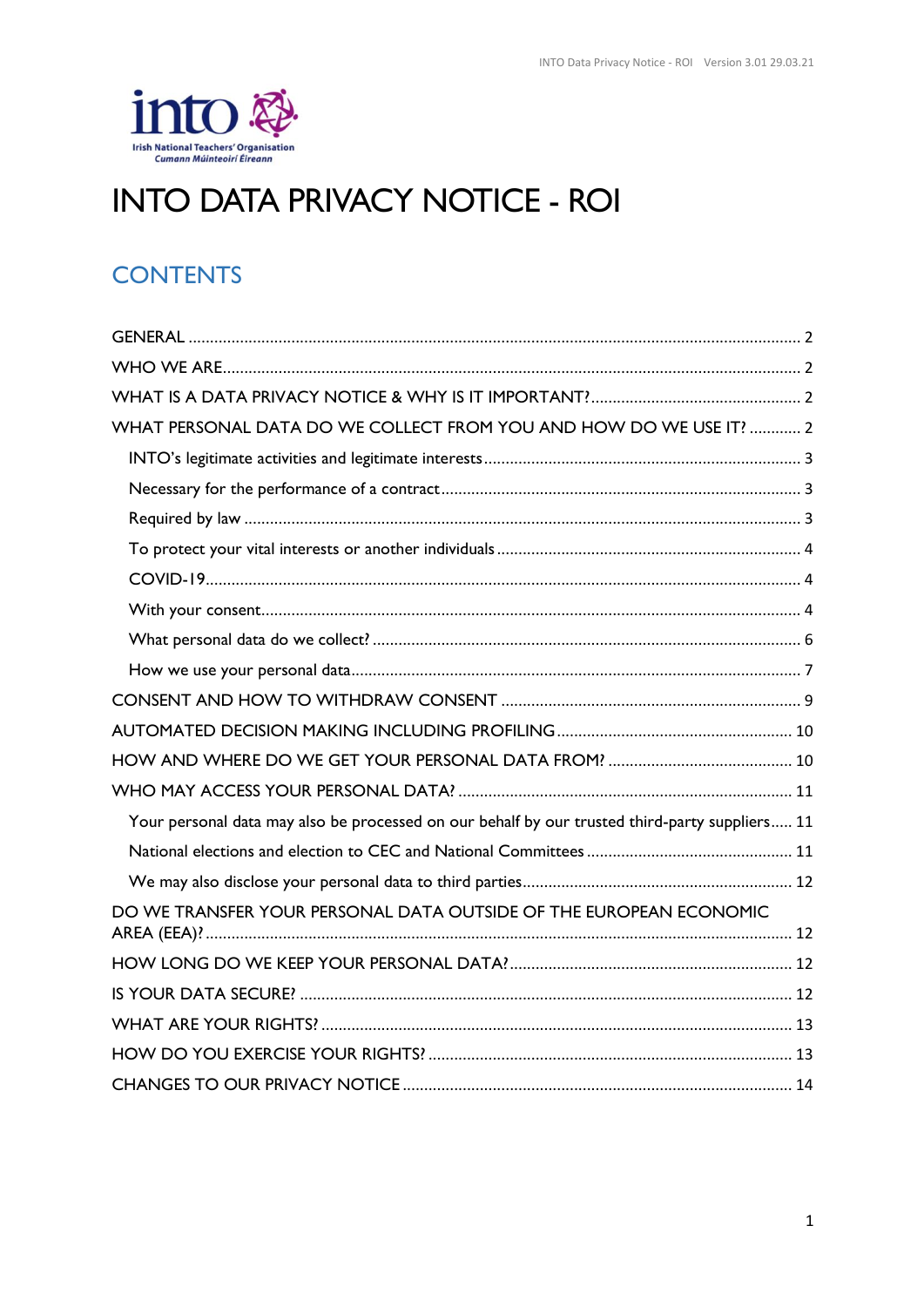

# **INTO DATA PRIVACY NOTICE - ROI**

# **CONTENTS**

| WHAT PERSONAL DATA DO WE COLLECT FROM YOU AND HOW DO WE USE IT?  2                             |
|------------------------------------------------------------------------------------------------|
|                                                                                                |
|                                                                                                |
|                                                                                                |
|                                                                                                |
|                                                                                                |
|                                                                                                |
|                                                                                                |
|                                                                                                |
|                                                                                                |
|                                                                                                |
|                                                                                                |
|                                                                                                |
| Your personal data may also be processed on our behalf by our trusted third-party suppliers 11 |
|                                                                                                |
|                                                                                                |
| DO WE TRANSFER YOUR PERSONAL DATA OUTSIDE OF THE EUROPEAN ECONOMIC                             |
|                                                                                                |
|                                                                                                |
|                                                                                                |
|                                                                                                |
|                                                                                                |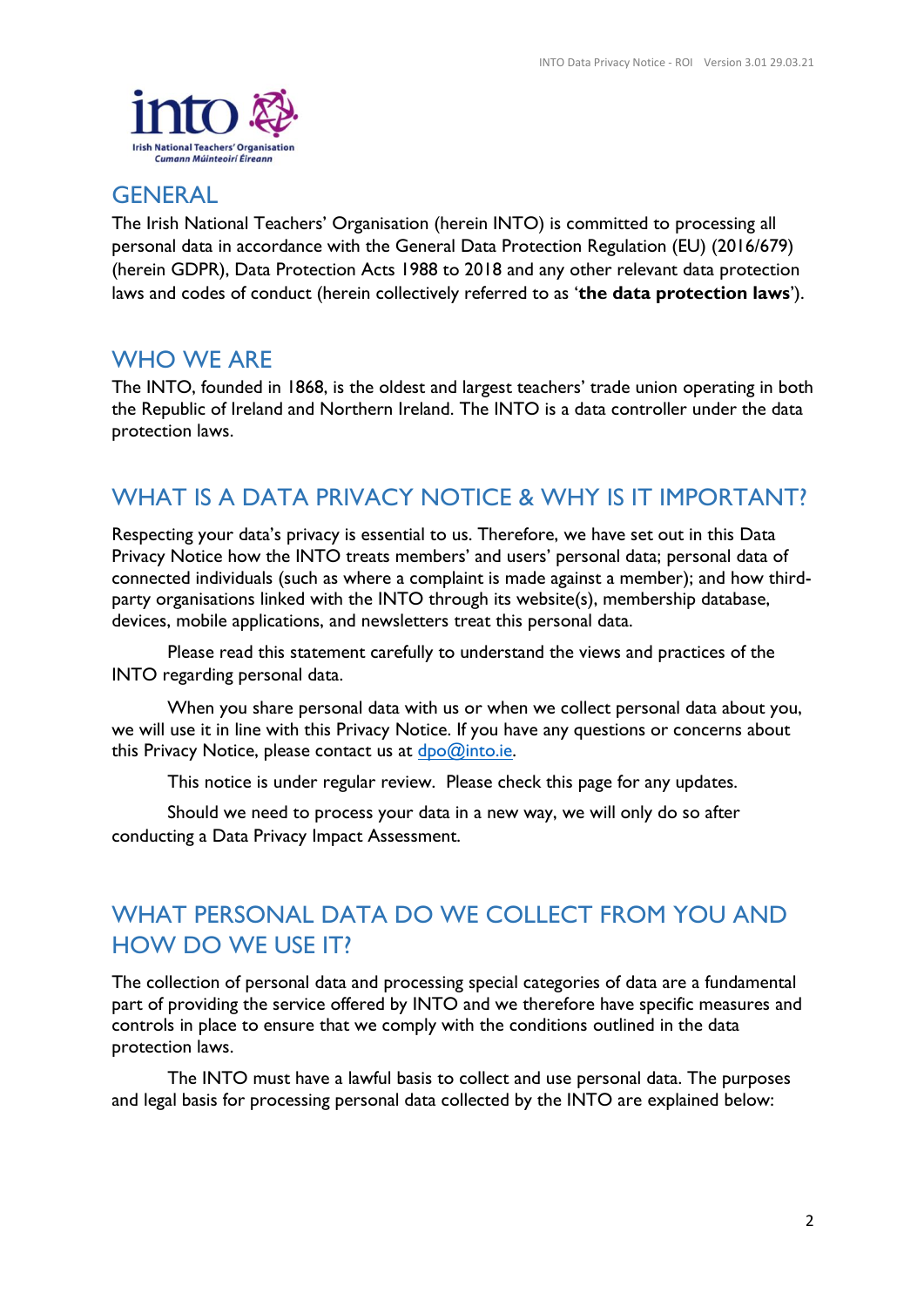

### <span id="page-1-0"></span>**GENERAL**

The Irish National Teachers' Organisation (herein INTO) is committed to processing all personal data in accordance with the General Data Protection Regulation (EU) (2016/679) (herein GDPR), Data Protection Acts 1988 to 2018 and any other relevant data protection laws and codes of conduct (herein collectively referred to as '**the data protection laws**').

### <span id="page-1-1"></span>WHO WE ARE

The INTO, founded in 1868, is the oldest and largest teachers' trade union operating in both the Republic of Ireland and Northern Ireland. The INTO is a data controller under the data protection laws.

# <span id="page-1-2"></span>WHAT IS A DATA PRIVACY NOTICE & WHY IS IT IMPORTANT?

Respecting your data's privacy is essential to us. Therefore, we have set out in this Data Privacy Notice how the INTO treats members' and users' personal data; personal data of connected individuals (such as where a complaint is made against a member); and how thirdparty organisations linked with the INTO through its website(s), membership database, devices, mobile applications, and newsletters treat this personal data.

Please read this statement carefully to understand the views and practices of the INTO regarding personal data.

When you share personal data with us or when we collect personal data about you, we will use it in line with this Privacy Notice. If you have any questions or concerns about this Privacy Notice, please contact us at  $dpo@into.e.$ 

This notice is under regular review. Please check this page for any updates.

Should we need to process your data in a new way, we will only do so after conducting a Data Privacy Impact Assessment.

# <span id="page-1-3"></span>WHAT PERSONAL DATA DO WE COLLECT FROM YOU AND HOW DO WE USE IT?

The collection of personal data and processing special categories of data are a fundamental part of providing the service offered by INTO and we therefore have specific measures and controls in place to ensure that we comply with the conditions outlined in the data protection laws.

The INTO must have a lawful basis to collect and use personal data. The purposes and legal basis for processing personal data collected by the INTO are explained below: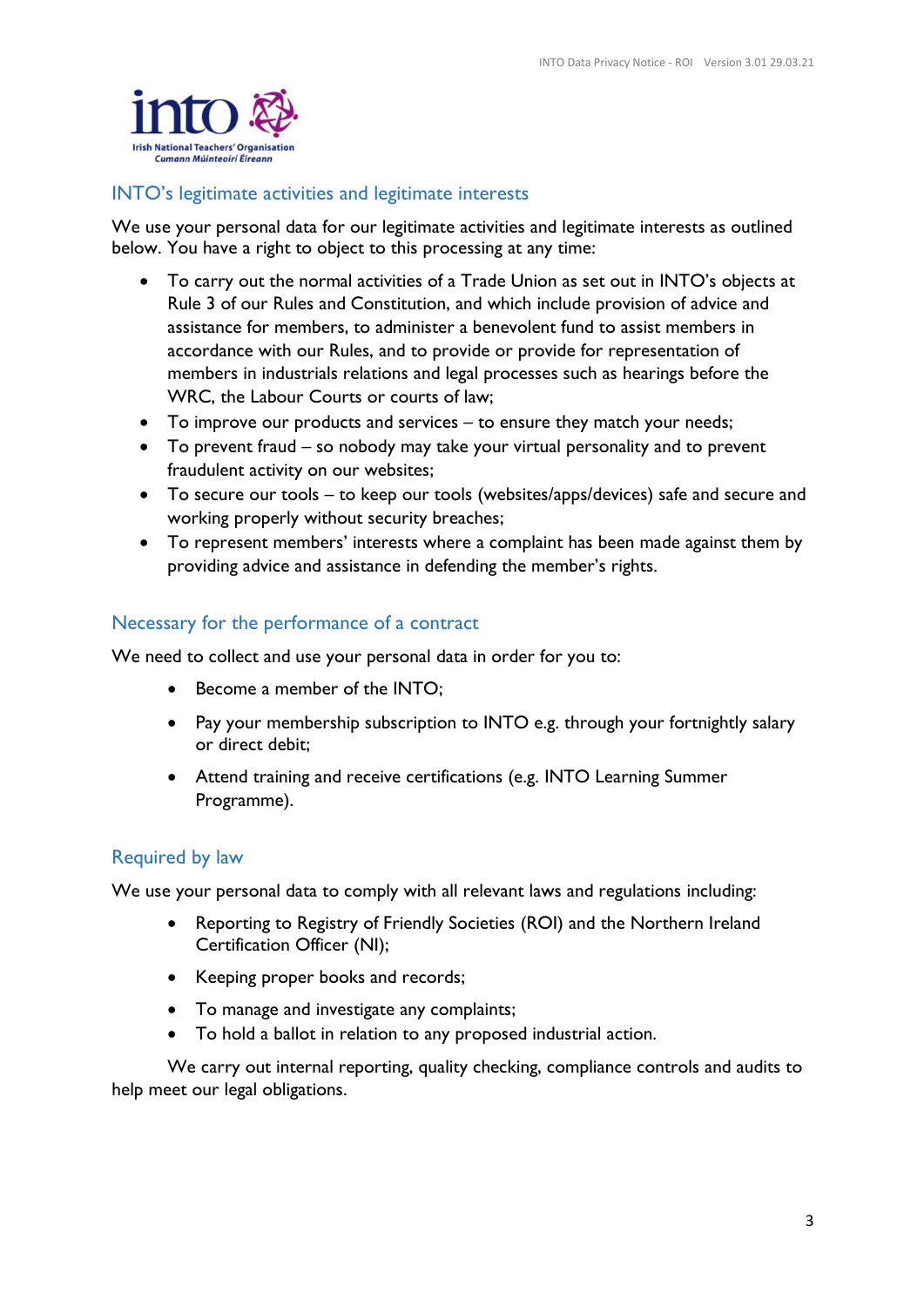

#### <span id="page-2-0"></span>INTO's legitimate activities and legitimate interests

We use your personal data for our legitimate activities and legitimate interests as outlined below. You have a right to object to this processing at any time:

- To carry out the normal activities of a Trade Union as set out in INTO's objects at Rule 3 of our Rules and Constitution, and which include provision of advice and assistance for members, to administer a benevolent fund to assist members in accordance with our Rules, and to provide or provide for representation of members in industrials relations and legal processes such as hearings before the WRC, the Labour Courts or courts of law;
- To improve our products and services to ensure they match your needs;
- To prevent fraud so nobody may take your virtual personality and to prevent fraudulent activity on our websites;
- To secure our tools to keep our tools (websites/apps/devices) safe and secure and working properly without security breaches;
- To represent members' interests where a complaint has been made against them by providing advice and assistance in defending the member's rights.

#### <span id="page-2-1"></span>Necessary for the performance of a contract

We need to collect and use your personal data in order for you to:

- Become a member of the INTO:
- Pay your membership subscription to INTO e.g. through your fortnightly salary or direct debit;
- Attend training and receive certifications (e.g. INTO Learning Summer Programme).

#### <span id="page-2-2"></span>Required by law

We use your personal data to comply with all relevant laws and regulations including:

- Reporting to Registry of Friendly Societies (ROI) and the Northern Ireland Certification Officer (NI);
- Keeping proper books and records;
- To manage and investigate any complaints;
- To hold a ballot in relation to any proposed industrial action.

We carry out internal reporting, quality checking, compliance controls and audits to help meet our legal obligations.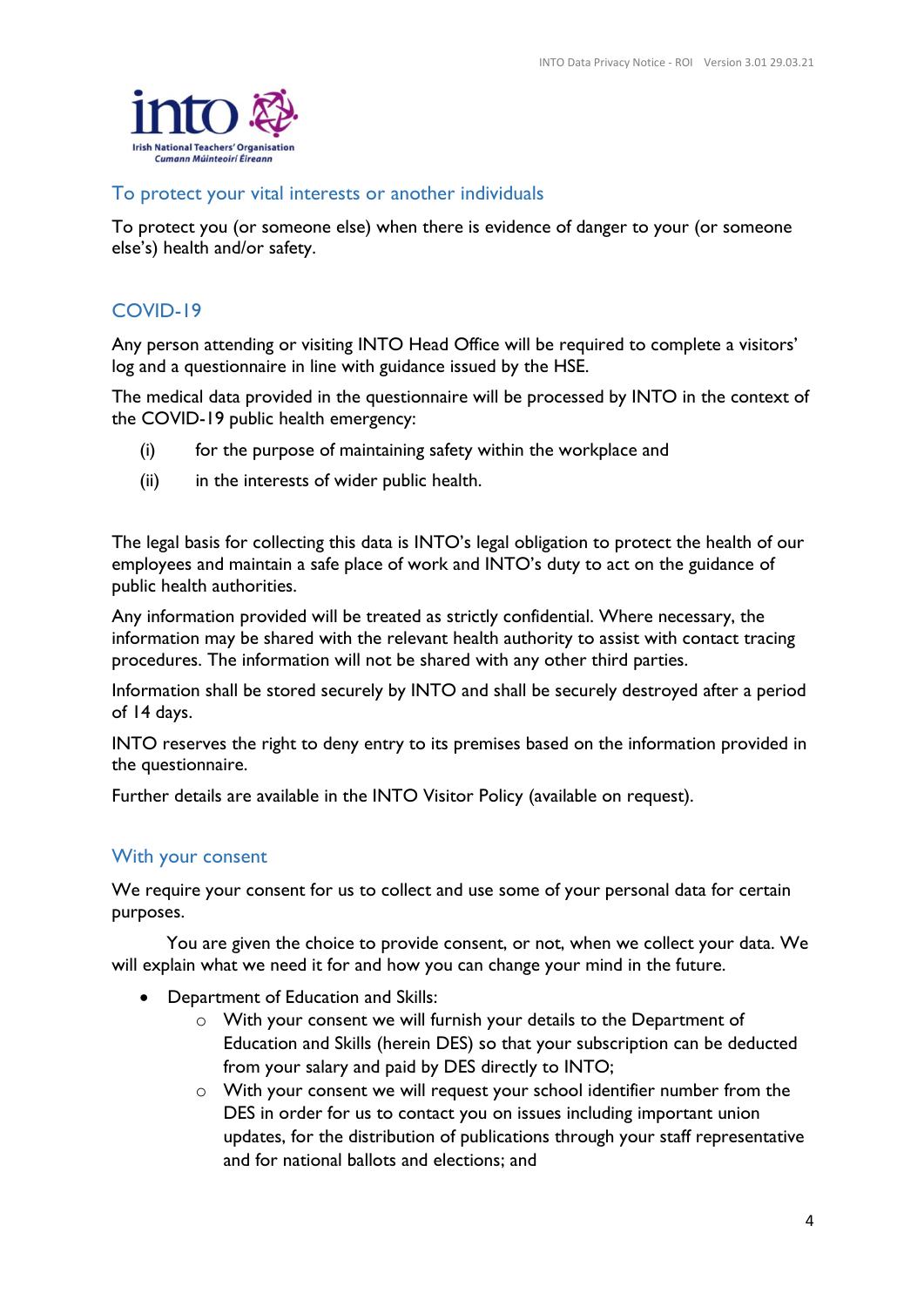

#### <span id="page-3-0"></span>To protect your vital interests or another individuals

To protect you (or someone else) when there is evidence of danger to your (or someone else's) health and/or safety.

### <span id="page-3-1"></span>COVID-19

Any person attending or visiting INTO Head Office will be required to complete a visitors' log and a questionnaire in line with guidance issued by the HSE.

The medical data provided in the questionnaire will be processed by INTO in the context of the COVID-19 public health emergency:

- (i) for the purpose of maintaining safety within the workplace and
- (ii) in the interests of wider public health.

The legal basis for collecting this data is INTO's legal obligation to protect the health of our employees and maintain a safe place of work and INTO's duty to act on the guidance of public health authorities.

Any information provided will be treated as strictly confidential. Where necessary, the information may be shared with the relevant health authority to assist with contact tracing procedures. The information will not be shared with any other third parties.

Information shall be stored securely by INTO and shall be securely destroyed after a period of 14 days.

INTO reserves the right to deny entry to its premises based on the information provided in the questionnaire.

Further details are available in the INTO Visitor Policy (available on request).

#### <span id="page-3-2"></span>With your consent

We require your consent for us to collect and use some of your personal data for certain purposes.

You are given the choice to provide consent, or not, when we collect your data. We will explain what we need it for and how you can change your mind in the future.

- Department of Education and Skills:
	- o With your consent we will furnish your details to the Department of Education and Skills (herein DES) so that your subscription can be deducted from your salary and paid by DES directly to INTO;
	- o With your consent we will request your school identifier number from the DES in order for us to contact you on issues including important union updates, for the distribution of publications through your staff representative and for national ballots and elections; and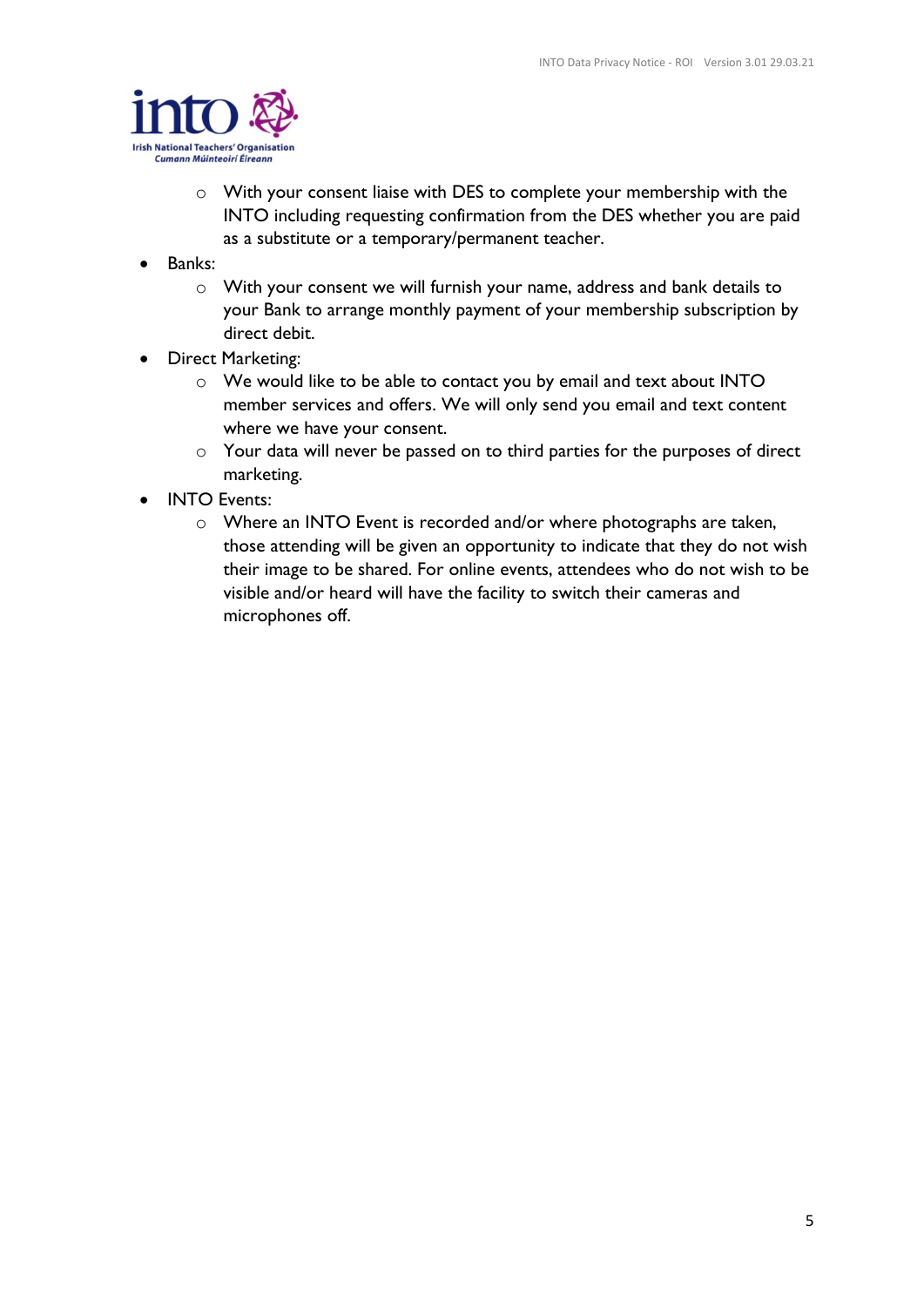

- o With your consent liaise with DES to complete your membership with the INTO including requesting confirmation from the DES whether you are paid as a substitute or a temporary/permanent teacher.
- Banks:
	- o With your consent we will furnish your name, address and bank details to your Bank to arrange monthly payment of your membership subscription by direct debit.
- Direct Marketing:
	- o We would like to be able to contact you by email and text about INTO member services and offers. We will only send you email and text content where we have your consent.
	- o Your data will never be passed on to third parties for the purposes of direct marketing.
- INTO Events:
	- o Where an INTO Event is recorded and/or where photographs are taken, those attending will be given an opportunity to indicate that they do not wish their image to be shared. For online events, attendees who do not wish to be visible and/or heard will have the facility to switch their cameras and microphones off.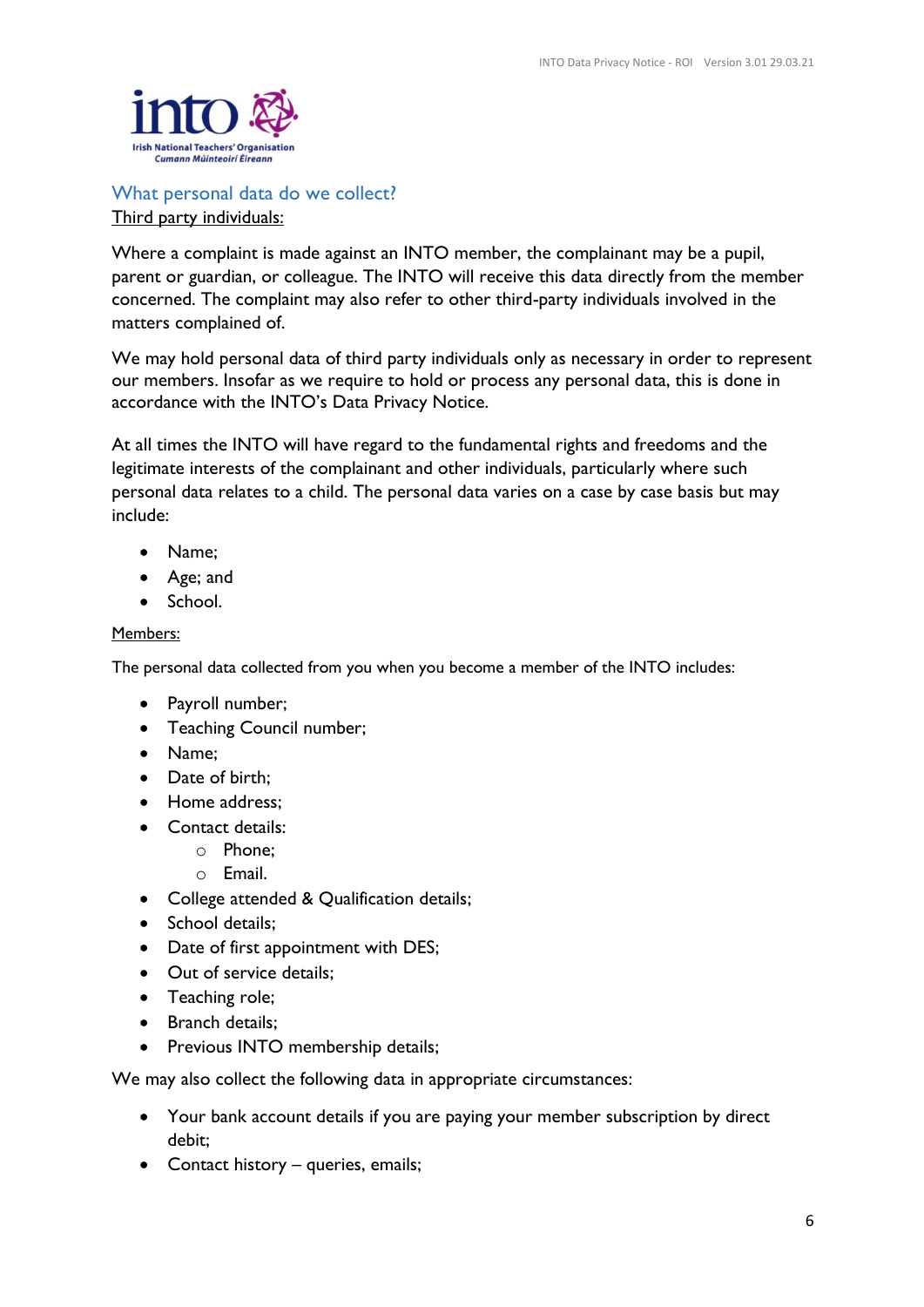

#### <span id="page-5-0"></span>What personal data do we collect? Third party individuals:

Where a complaint is made against an INTO member, the complainant may be a pupil, parent or guardian, or colleague. The INTO will receive this data directly from the member concerned. The complaint may also refer to other third-party individuals involved in the matters complained of.

We may hold personal data of third party individuals only as necessary in order to represent our members. Insofar as we require to hold or process any personal data, this is done in accordance with the INTO's Data Privacy Notice.

At all times the INTO will have regard to the fundamental rights and freedoms and the legitimate interests of the complainant and other individuals, particularly where such personal data relates to a child. The personal data varies on a case by case basis but may include:

- Name;
- Age; and
- School.

#### Members:

The personal data collected from you when you become a member of the INTO includes:

- Payroll number;
- Teaching Council number;
- Name;
- Date of birth:
- Home address;
- Contact details:
	- o Phone;
	- o Email.
- College attended & Qualification details;
- School details;
- Date of first appointment with DES;
- Out of service details;
- Teaching role;
- Branch details;
- Previous INTO membership details;

We may also collect the following data in appropriate circumstances:

- Your bank account details if you are paying your member subscription by direct debit;
- Contact history queries, emails;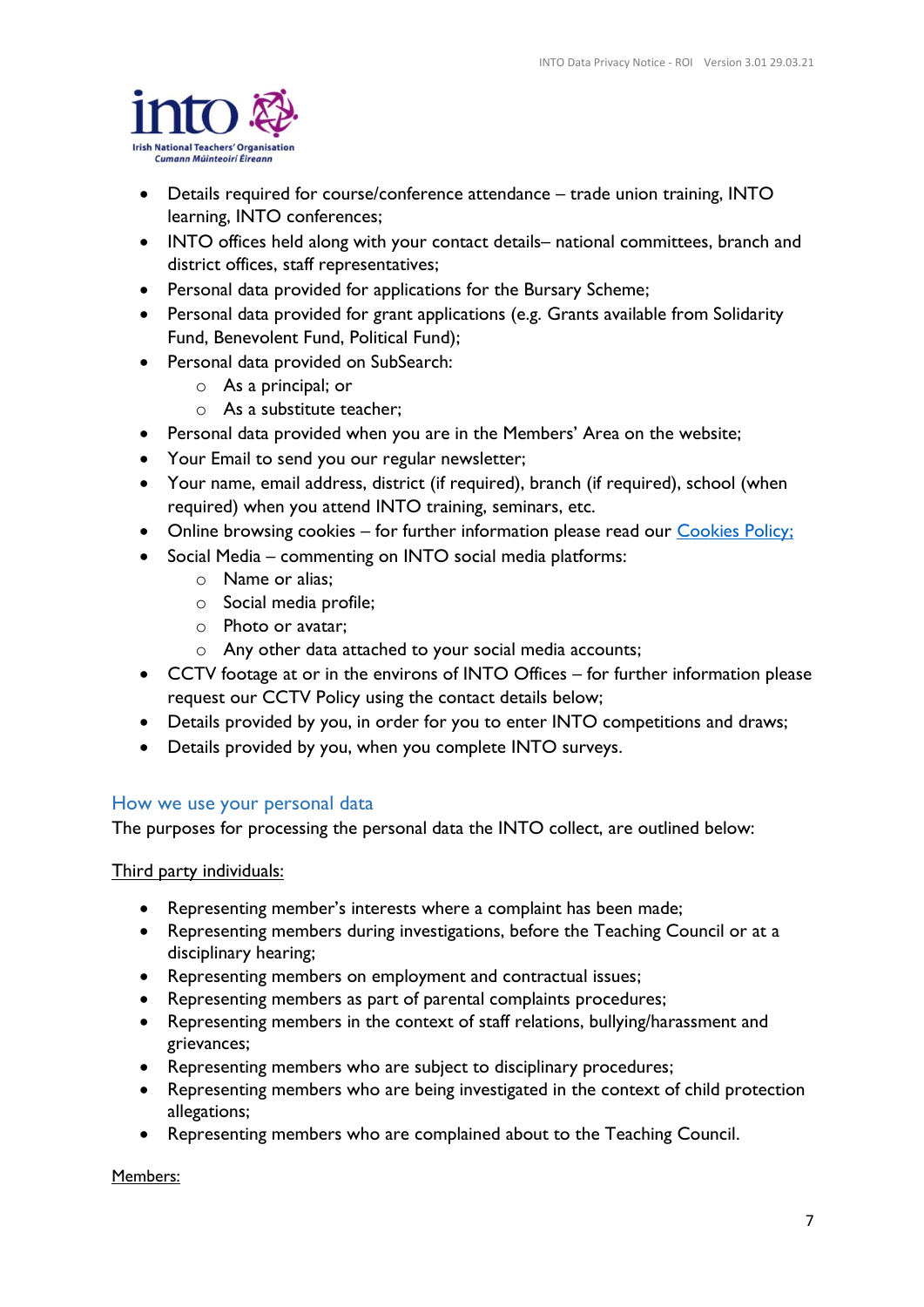

- Details required for course/conference attendance trade union training, INTO learning, INTO conferences;
- INTO offices held along with your contact details– national committees, branch and district offices, staff representatives;
- Personal data provided for applications for the Bursary Scheme;
- Personal data provided for grant applications (e.g. Grants available from Solidarity Fund, Benevolent Fund, Political Fund);
- Personal data provided on SubSearch:
	- o As a principal; or
	- $\circ$  As a substitute teacher;
- Personal data provided when you are in the Members' Area on the website;
- Your Email to send you our regular newsletter;
- Your name, email address, district (if required), branch (if required), school (when required) when you attend INTO training, seminars, etc.
- Online browsing cookies for further information please read our [Cookies Policy;](https://www.into.ie/ROI/StyleAssets/Statements/PrivacyPolicy/)
- Social Media commenting on INTO social media platforms:
	- o Name or alias;
	- o Social media profile;
	- o Photo or avatar;
	- o Any other data attached to your social media accounts;
- CCTV footage at or in the environs of INTO Offices for further information please request our CCTV Policy using the contact details below;
- Details provided by you, in order for you to enter INTO competitions and draws;
- Details provided by you, when you complete INTO surveys.

#### <span id="page-6-0"></span>How we use your personal data

The purposes for processing the personal data the INTO collect, are outlined below:

Third party individuals:

- Representing member's interests where a complaint has been made;
- Representing members during investigations, before the Teaching Council or at a disciplinary hearing;
- Representing members on employment and contractual issues;
- Representing members as part of parental complaints procedures;
- Representing members in the context of staff relations, bullying/harassment and grievances;
- Representing members who are subject to disciplinary procedures;
- Representing members who are being investigated in the context of child protection allegations;
- Representing members who are complained about to the Teaching Council.

Members: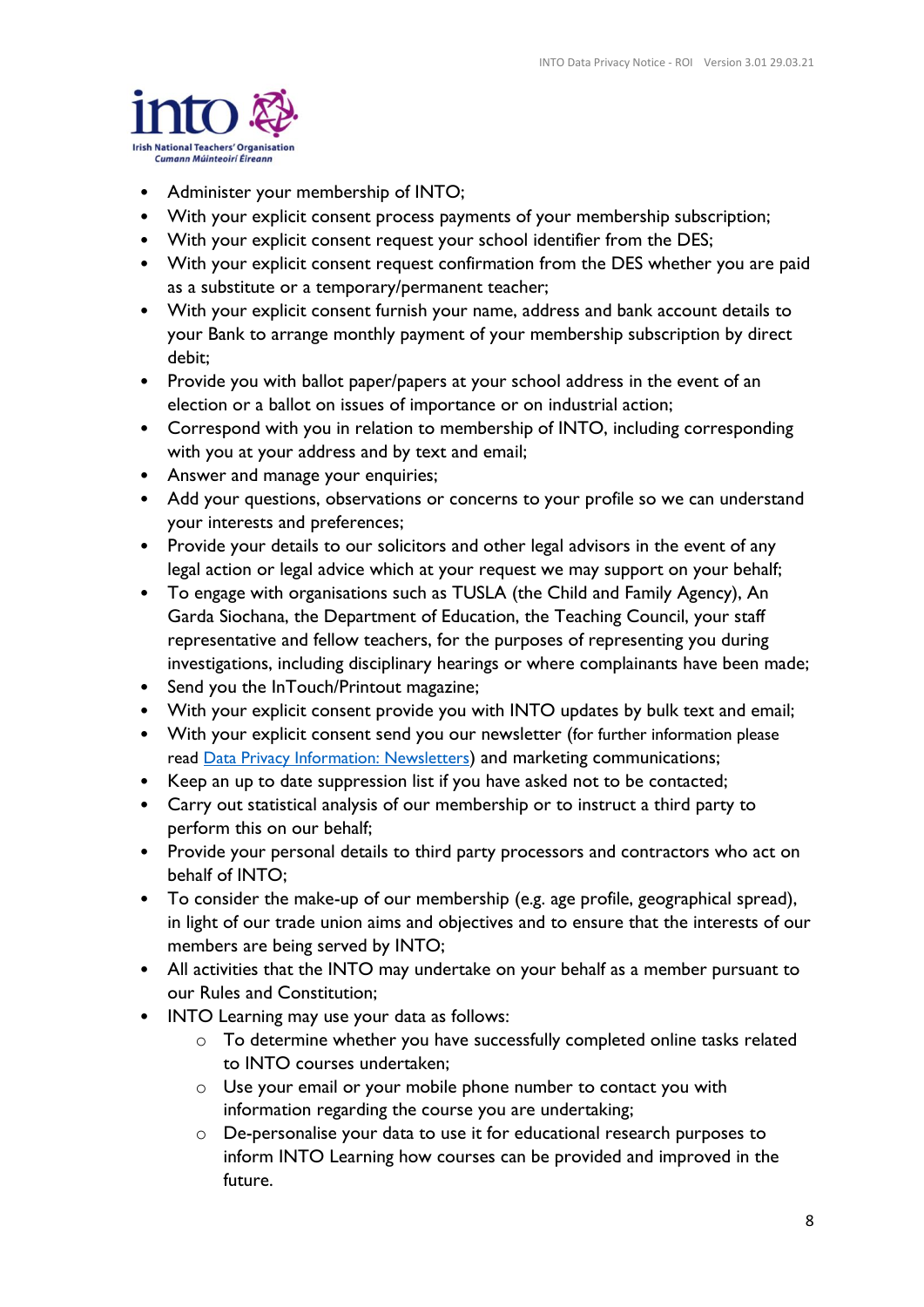

- Administer your membership of INTO;
- With your explicit consent process payments of your membership subscription;
- With your explicit consent request your school identifier from the DES;
- With your explicit consent request confirmation from the DES whether you are paid as a substitute or a temporary/permanent teacher;
- With your explicit consent furnish your name, address and bank account details to your Bank to arrange monthly payment of your membership subscription by direct debit;
- Provide you with ballot paper/papers at your school address in the event of an election or a ballot on issues of importance or on industrial action;
- Correspond with you in relation to membership of INTO, including corresponding with you at your address and by text and email;
- Answer and manage your enquiries;
- Add your questions, observations or concerns to your profile so we can understand your interests and preferences;
- Provide your details to our solicitors and other legal advisors in the event of any legal action or legal advice which at your request we may support on your behalf;
- To engage with organisations such as TUSLA (the Child and Family Agency), An Garda Siochana, the Department of Education, the Teaching Council, your staff representative and fellow teachers, for the purposes of representing you during investigations, including disciplinary hearings or where complainants have been made;
- Send you the InTouch/Printout magazine;
- With your explicit consent provide you with INTO updates by bulk text and email;
- With your explicit consent send you our newsletter (for further information please read [Data Privacy Information: Newsletters](https://www.into.ie/ROI/StyleAssets/Downloads/DataPrivacyInformation-Newsletters.pdf)) and marketing communications;
- Keep an up to date suppression list if you have asked not to be contacted;
- Carry out statistical analysis of our membership or to instruct a third party to perform this on our behalf;
- Provide your personal details to third party processors and contractors who act on behalf of INTO;
- To consider the make-up of our membership (e.g. age profile, geographical spread), in light of our trade union aims and objectives and to ensure that the interests of our members are being served by INTO;
- All activities that the INTO may undertake on your behalf as a member pursuant to our Rules and Constitution;
- INTO Learning may use your data as follows:
	- o To determine whether you have successfully completed online tasks related to INTO courses undertaken;
	- o Use your email or your mobile phone number to contact you with information regarding the course you are undertaking;
	- o De-personalise your data to use it for educational research purposes to inform INTO Learning how courses can be provided and improved in the future.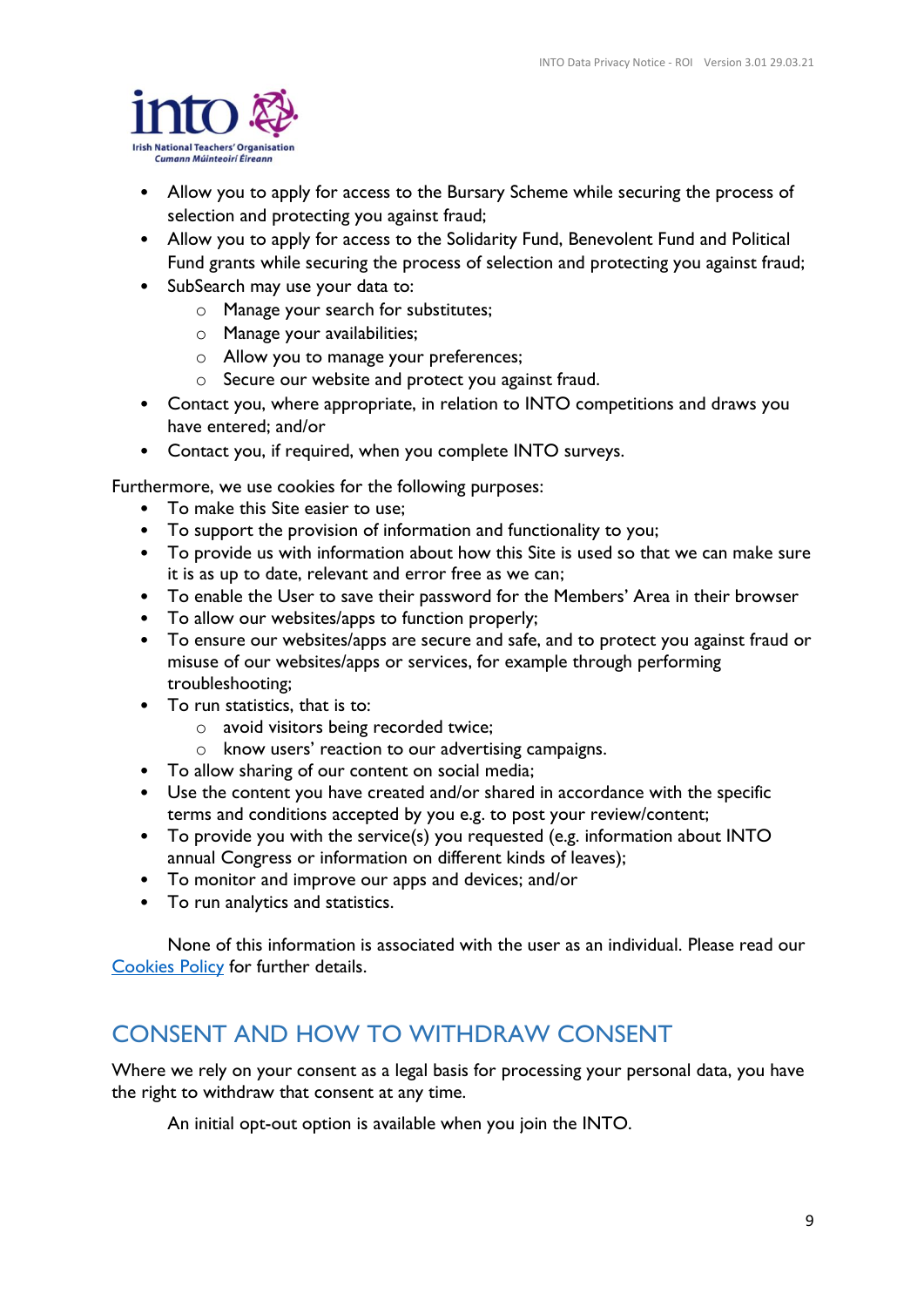

- Allow you to apply for access to the Bursary Scheme while securing the process of selection and protecting you against fraud;
- Allow you to apply for access to the Solidarity Fund, Benevolent Fund and Political Fund grants while securing the process of selection and protecting you against fraud;
- SubSearch may use your data to:
	- o Manage your search for substitutes;
	- o Manage your availabilities;
	- o Allow you to manage your preferences;
	- o Secure our website and protect you against fraud.
- Contact you, where appropriate, in relation to INTO competitions and draws you have entered; and/or
- Contact you, if required, when you complete INTO surveys.

Furthermore, we use cookies for the following purposes:

- To make this Site easier to use;
- To support the provision of information and functionality to you;
- To provide us with information about how this Site is used so that we can make sure it is as up to date, relevant and error free as we can;
- To enable the User to save their password for the Members' Area in their browser
- To allow our websites/apps to function properly;
- To ensure our websites/apps are secure and safe, and to protect you against fraud or misuse of our websites/apps or services, for example through performing troubleshooting;
- To run statistics, that is to:
	- o avoid visitors being recorded twice;
	- o know users' reaction to our advertising campaigns.
- To allow sharing of our content on social media;
- Use the content you have created and/or shared in accordance with the specific terms and conditions accepted by you e.g. to post your review/content;
- To provide you with the service(s) you requested (e.g. information about INTO annual Congress or information on different kinds of leaves);
- To monitor and improve our apps and devices; and/or
- To run analytics and statistics.

None of this information is associated with the user as an individual. Please read our [Cookies Policy](https://www.into.ie/ROI/StyleAssets/Statements/PrivacyPolicy/) for further details.

## <span id="page-8-0"></span>CONSENT AND HOW TO WITHDRAW CONSENT

Where we rely on your consent as a legal basis for processing your personal data, you have the right to withdraw that consent at any time.

An initial opt-out option is available when you join the INTO.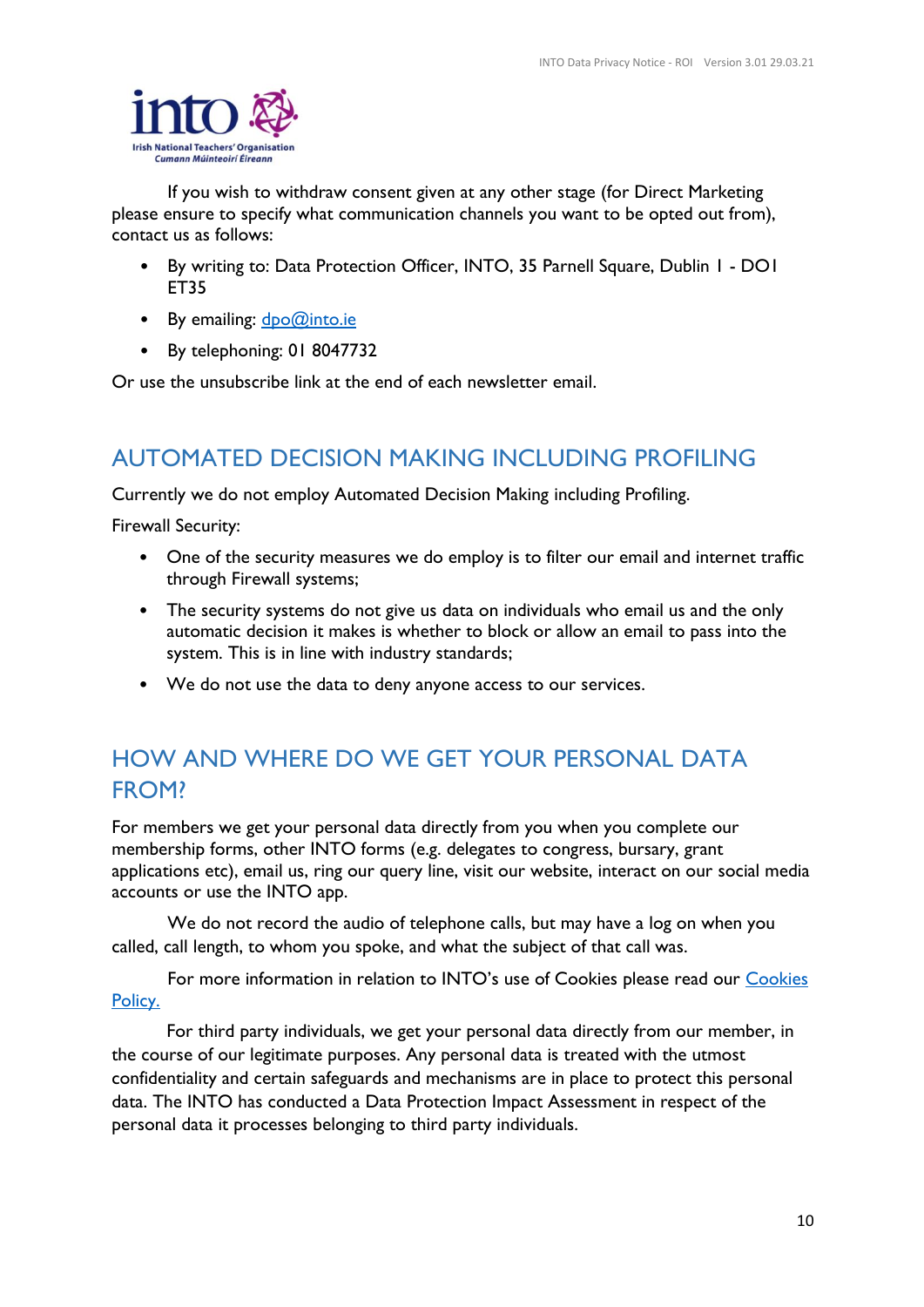

If you wish to withdraw consent given at any other stage (for Direct Marketing please ensure to specify what communication channels you want to be opted out from), contact us as follows:

- By writing to: Data Protection Officer, INTO, 35 Parnell Square, Dublin 1 DO1 ET35
- By emailing: [dpo@into.ie](mailto:dpo@into.ie)
- By telephoning: 01 8047732

Or use the unsubscribe link at the end of each newsletter email.

### <span id="page-9-0"></span>AUTOMATED DECISION MAKING INCLUDING PROFILING

Currently we do not employ Automated Decision Making including Profiling.

Firewall Security:

- One of the security measures we do employ is to filter our email and internet traffic through Firewall systems;
- The security systems do not give us data on individuals who email us and the only automatic decision it makes is whether to block or allow an email to pass into the system. This is in line with industry standards;
- We do not use the data to deny anyone access to our services.

# <span id="page-9-1"></span>HOW AND WHERE DO WE GET YOUR PERSONAL DATA FROM?

For members we get your personal data directly from you when you complete our membership forms, other INTO forms (e.g. delegates to congress, bursary, grant applications etc), email us, ring our query line, visit our website, interact on our social media accounts or use the INTO app.

We do not record the audio of telephone calls, but may have a log on when you called, call length, to whom you spoke, and what the subject of that call was.

For more information in relation to INTO's use of Cookies please read our [Cookies](https://www.into.ie/ROI/StyleAssets/Statements/PrivacyPolicy/)  [Policy.](https://www.into.ie/ROI/StyleAssets/Statements/PrivacyPolicy/)

For third party individuals, we get your personal data directly from our member, in the course of our legitimate purposes. Any personal data is treated with the utmost confidentiality and certain safeguards and mechanisms are in place to protect this personal data. The INTO has conducted a Data Protection Impact Assessment in respect of the personal data it processes belonging to third party individuals.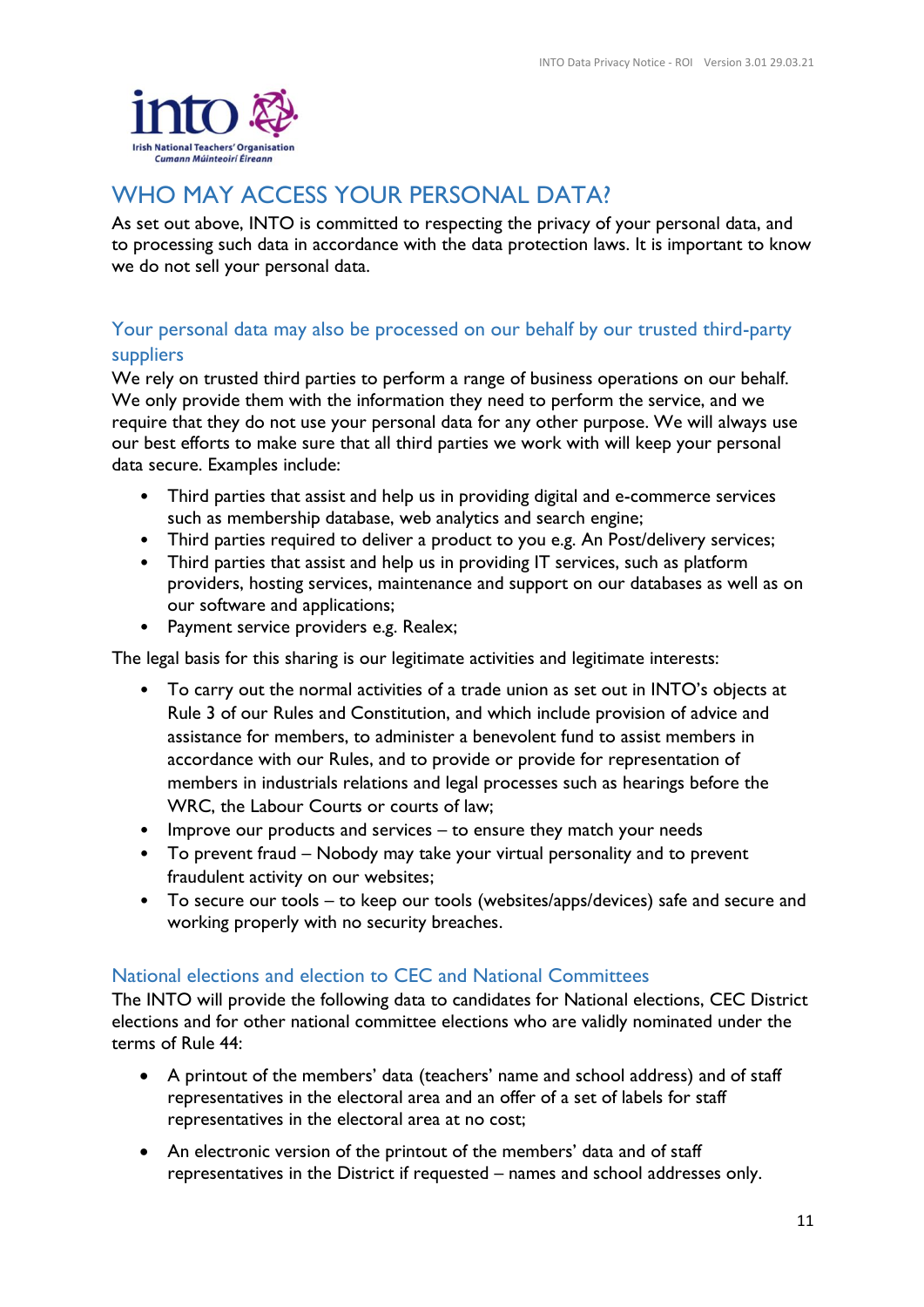

# <span id="page-10-0"></span>WHO MAY ACCESS YOUR PERSONAL DATA?

As set out above, INTO is committed to respecting the privacy of your personal data, and to processing such data in accordance with the data protection laws. It is important to know we do not sell your personal data.

### <span id="page-10-1"></span>Your personal data may also be processed on our behalf by our trusted third-party suppliers

We rely on trusted third parties to perform a range of business operations on our behalf. We only provide them with the information they need to perform the service, and we require that they do not use your personal data for any other purpose. We will always use our best efforts to make sure that all third parties we work with will keep your personal data secure. Examples include:

- Third parties that assist and help us in providing digital and e-commerce services such as membership database, web analytics and search engine;
- Third parties required to deliver a product to you e.g. An Post/delivery services;
- Third parties that assist and help us in providing IT services, such as platform providers, hosting services, maintenance and support on our databases as well as on our software and applications;
- Payment service providers e.g. Realex;

The legal basis for this sharing is our legitimate activities and legitimate interests:

- To carry out the normal activities of a trade union as set out in INTO's objects at Rule 3 of our Rules and Constitution, and which include provision of advice and assistance for members, to administer a benevolent fund to assist members in accordance with our Rules, and to provide or provide for representation of members in industrials relations and legal processes such as hearings before the WRC, the Labour Courts or courts of law;
- Improve our products and services to ensure they match your needs
- To prevent fraud Nobody may take your virtual personality and to prevent fraudulent activity on our websites;
- To secure our tools to keep our tools (websites/apps/devices) safe and secure and working properly with no security breaches.

#### <span id="page-10-2"></span>National elections and election to CEC and National Committees

The INTO will provide the following data to candidates for National elections, CEC District elections and for other national committee elections who are validly nominated under the terms of Rule 44:

- A printout of the members' data (teachers' name and school address) and of staff representatives in the electoral area and an offer of a set of labels for staff representatives in the electoral area at no cost;
- An electronic version of the printout of the members' data and of staff representatives in the District if requested – names and school addresses only.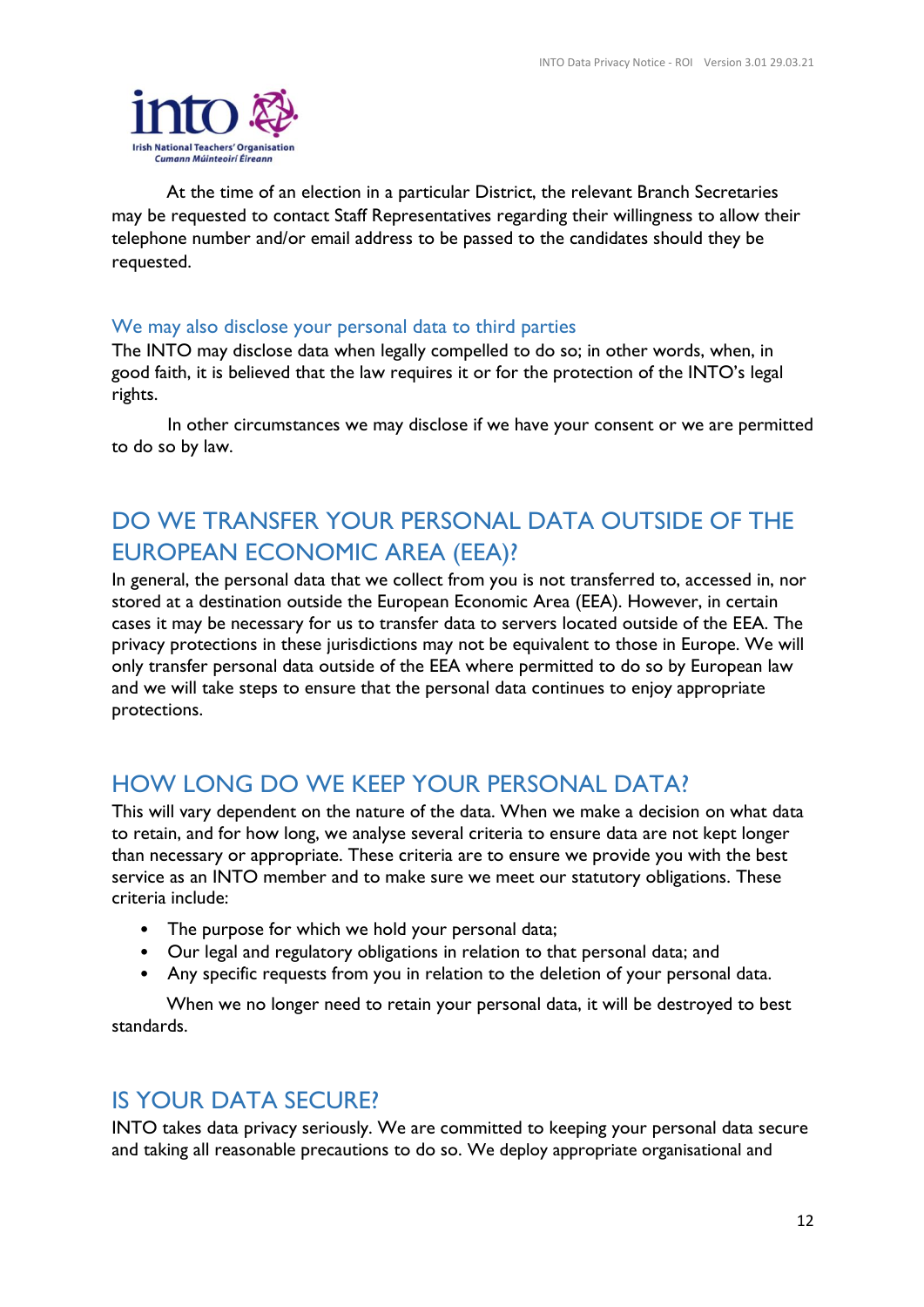

At the time of an election in a particular District, the relevant Branch Secretaries may be requested to contact Staff Representatives regarding their willingness to allow their telephone number and/or email address to be passed to the candidates should they be requested.

#### <span id="page-11-0"></span>We may also disclose your personal data to third parties

The INTO may disclose data when legally compelled to do so; in other words, when, in good faith, it is believed that the law requires it or for the protection of the INTO's legal rights.

In other circumstances we may disclose if we have your consent or we are permitted to do so by law.

### <span id="page-11-1"></span>DO WE TRANSFER YOUR PERSONAL DATA OUTSIDE OF THE EUROPEAN ECONOMIC AREA (EEA)?

In general, the personal data that we collect from you is not transferred to, accessed in, nor stored at a destination outside the European Economic Area (EEA). However, in certain cases it may be necessary for us to transfer data to servers located outside of the EEA. The privacy protections in these jurisdictions may not be equivalent to those in Europe. We will only transfer personal data outside of the EEA where permitted to do so by European law and we will take steps to ensure that the personal data continues to enjoy appropriate protections.

### <span id="page-11-2"></span>HOW LONG DO WE KEEP YOUR PERSONAL DATA?

This will vary dependent on the nature of the data. When we make a decision on what data to retain, and for how long, we analyse several criteria to ensure data are not kept longer than necessary or appropriate. These criteria are to ensure we provide you with the best service as an INTO member and to make sure we meet our statutory obligations. These criteria include:

- The purpose for which we hold your personal data;
- Our legal and regulatory obligations in relation to that personal data; and
- Any specific requests from you in relation to the deletion of your personal data.

When we no longer need to retain your personal data, it will be destroyed to best standards.

### <span id="page-11-3"></span>IS YOUR DATA SECURE?

INTO takes data privacy seriously. We are committed to keeping your personal data secure and taking all reasonable precautions to do so. We deploy appropriate organisational and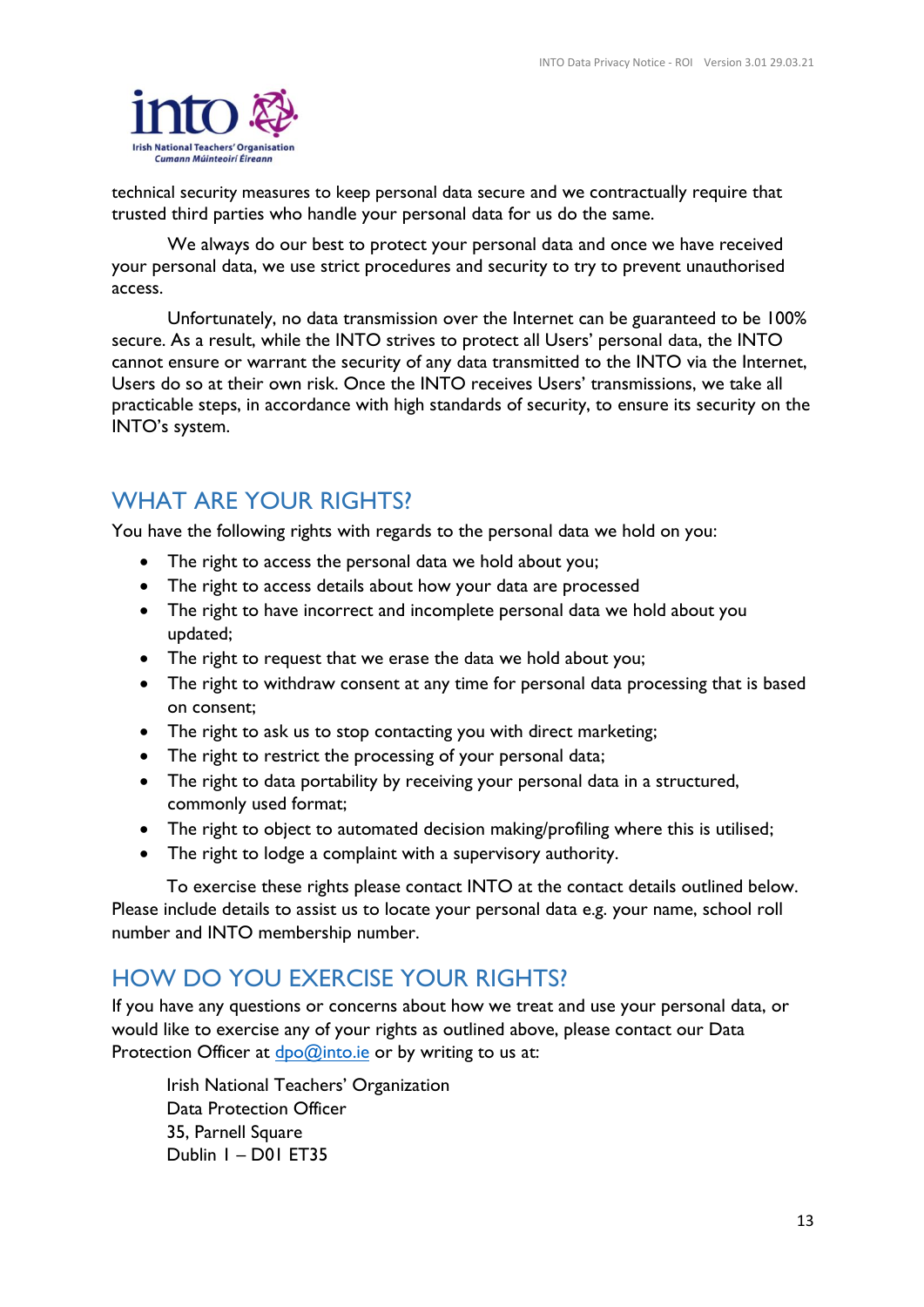

technical security measures to keep personal data secure and we contractually require that trusted third parties who handle your personal data for us do the same.

We always do our best to protect your personal data and once we have received your personal data, we use strict procedures and security to try to prevent unauthorised access.

Unfortunately, no data transmission over the Internet can be guaranteed to be 100% secure. As a result, while the INTO strives to protect all Users' personal data, the INTO cannot ensure or warrant the security of any data transmitted to the INTO via the Internet, Users do so at their own risk. Once the INTO receives Users' transmissions, we take all practicable steps, in accordance with high standards of security, to ensure its security on the INTO's system.

## <span id="page-12-0"></span>WHAT ARE YOUR RIGHTS?

You have the following rights with regards to the personal data we hold on you:

- The right to access the personal data we hold about you;
- The right to access details about how your data are processed
- The right to have incorrect and incomplete personal data we hold about you updated;
- The right to request that we erase the data we hold about you;
- The right to withdraw consent at any time for personal data processing that is based on consent;
- The right to ask us to stop contacting you with direct marketing;
- The right to restrict the processing of your personal data;
- The right to data portability by receiving your personal data in a structured, commonly used format;
- The right to object to automated decision making/profiling where this is utilised;
- The right to lodge a complaint with a supervisory authority.

To exercise these rights please contact INTO at the contact details outlined below. Please include details to assist us to locate your personal data e.g. your name, school roll number and INTO membership number.

### <span id="page-12-1"></span>HOW DO YOU EXERCISE YOUR RIGHTS?

If you have any questions or concerns about how we treat and use your personal data, or would like to exercise any of your rights as outlined above, please contact our Data Protection Officer at  $\frac{dpo@into_ie}{dt}$  or by writing to us at:

Irish National Teachers' Organization Data Protection Officer 35, Parnell Square Dublin 1 – D01 ET35